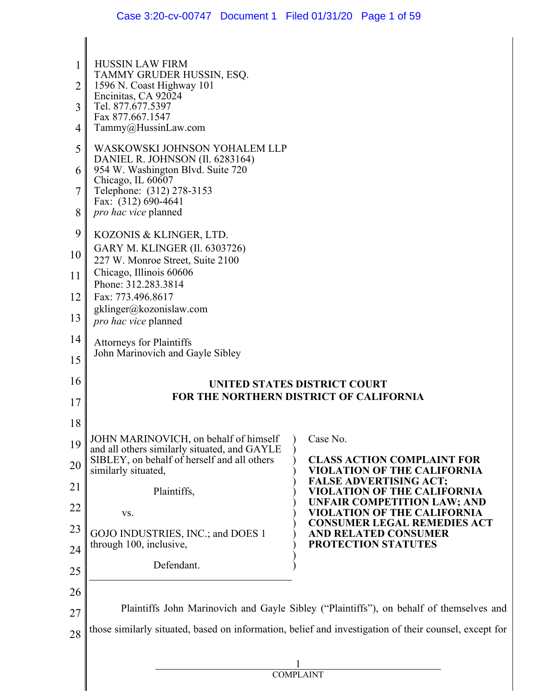| 2<br>3<br>4<br>5 | <b>HUSSIN LAW FIRM</b><br>TAMMY GRUDER HUSSIN, ESQ.<br>1596 N. Coast Highway 101<br>Encinitas, CA 92024<br>Tel. 877.677.5397<br>Fax 877.667.1547<br>Tammy@HussinLaw.com<br>WASKOWSKI JOHNSON YOHALEM LLP |  |                                                                                                       |  |
|------------------|----------------------------------------------------------------------------------------------------------------------------------------------------------------------------------------------------------|--|-------------------------------------------------------------------------------------------------------|--|
| 6<br>7           | DANIEL R. JOHNSON (Il. 6283164)<br>954 W. Washington Blvd. Suite 720<br>Chicago, IL 60607<br>Telephone: (312) 278-3153<br>Fax: (312) 690-4641                                                            |  |                                                                                                       |  |
| 8                | pro hac vice planned                                                                                                                                                                                     |  |                                                                                                       |  |
| 9<br>10          | KOZONIS & KLINGER, LTD.<br>GARY M. KLINGER (Il. 6303726)<br>227 W. Monroe Street, Suite 2100                                                                                                             |  |                                                                                                       |  |
| 11               | Chicago, Illinois 60606<br>Phone: 312.283.3814                                                                                                                                                           |  |                                                                                                       |  |
| 12               | Fax: 773.496.8617                                                                                                                                                                                        |  |                                                                                                       |  |
| 13               | gklinger@kozonislaw.com<br>pro hac vice planned                                                                                                                                                          |  |                                                                                                       |  |
| 14<br>15         | <b>Attorneys for Plaintiffs</b><br>John Marinovich and Gayle Sibley                                                                                                                                      |  |                                                                                                       |  |
| 16               |                                                                                                                                                                                                          |  | <b>UNITED STATES DISTRICT COURT</b>                                                                   |  |
| 17               |                                                                                                                                                                                                          |  | <b>FOR THE NORTHERN DISTRICT OF CALIFORNIA</b>                                                        |  |
| 18               |                                                                                                                                                                                                          |  |                                                                                                       |  |
| 19<br>20         | JOHN MARINOVICH, on behalf of himself<br>and all others similarly situated, and GAYLE<br>SIBLEY, on behalf of herself and all others<br>similarly situated,                                              |  | Case No.<br><b>CLASS ACTION COMPLAINT FOR</b><br>VIOLATION OF THE CALIFORNIA                          |  |
| 21               | Plaintiffs,                                                                                                                                                                                              |  | <b>FALSE ADVERTISING ACT;</b><br>VIOLATION OF THE CALIFORNIA                                          |  |
| <u>22</u>        | VS.                                                                                                                                                                                                      |  | <b>UNFAIR COMPETITION LAW; AND</b><br>VIOLATION OF THE CALIFORNIA                                     |  |
| 23               | GOJO INDUSTRIES, INC.; and DOES 1                                                                                                                                                                        |  | <b>CONSUMER LEGAL REMEDIES ACT</b><br><b>AND RELATED CONSUMER</b>                                     |  |
| 24               | through 100, inclusive,                                                                                                                                                                                  |  | PROTECTION STATUTES                                                                                   |  |
| 25               | Defendant.                                                                                                                                                                                               |  |                                                                                                       |  |
| 26               |                                                                                                                                                                                                          |  |                                                                                                       |  |
| 27               |                                                                                                                                                                                                          |  | Plaintiffs John Marinovich and Gayle Sibley ("Plaintiffs"), on behalf of themselves and               |  |
| 28               |                                                                                                                                                                                                          |  | those similarly situated, based on information, belief and investigation of their counsel, except for |  |
|                  |                                                                                                                                                                                                          |  |                                                                                                       |  |
|                  |                                                                                                                                                                                                          |  |                                                                                                       |  |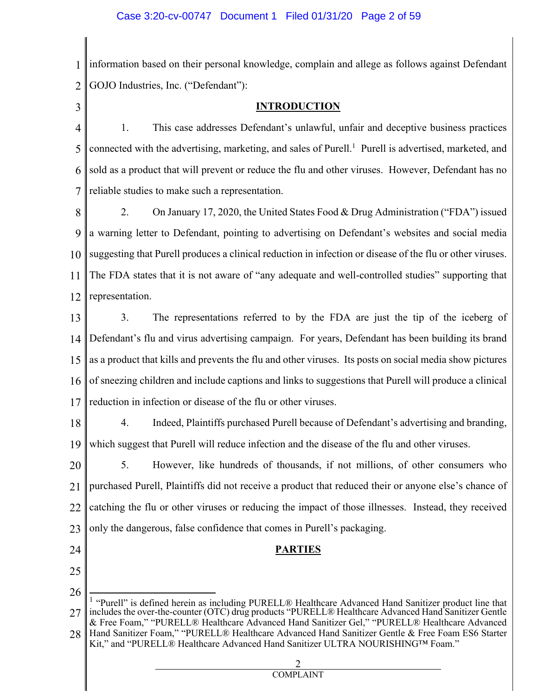1 Information based on their personal knowledge, complain and allege as follows against Defendant  $\mathcal{D}_{\mathcal{L}}$ GOJO Industries, Inc. ("Defendant"):

3

## **INTRODUCTION**

4 5 6 7 1. This case addresses Defendant's unlawful, unfair and deceptive business practices connected with the advertising, marketing, and sales of Purell. 1 Purell is advertised, marketed, and sold as a product that will prevent or reduce the flu and other viruses. However, Defendant has no reliable studies to make such a representation.

8 9 10 11 12 2. On January 17, 2020, the United States Food & Drug Administration ("FDA") issued a warning letter to Defendant, pointing to advertising on Defendant's websites and social media suggesting that Purell produces a clinical reduction in infection or disease of the flu or other viruses. The FDA states that it is not aware of "any adequate and well-controlled studies" supporting that representation.

13 14 15 16 17 3. The representations referred to by the FDA are just the tip of the iceberg of Defendant's flu and virus advertising campaign. For years, Defendant has been building its brand as a product that kills and prevents the flu and other viruses. Its posts on social media show pictures of sneezing children and include captions and links to suggestions that Purell will produce a clinical reduction in infection or disease of the flu or other viruses.

18 19 4. Indeed, Plaintiffs purchased Purell because of Defendant's advertising and branding, which suggest that Purell will reduce infection and the disease of the flu and other viruses.

20 21 22 23 5. However, like hundreds of thousands, if not millions, of other consumers who purchased Purell, Plaintiffs did not receive a product that reduced their or anyone else's chance of catching the flu or other viruses or reducing the impact of those illnesses. Instead, they received only the dangerous, false confidence that comes in Purell's packaging.

**PARTIES**

- 24
- 25
- 26

27 <sup>1</sup> "Purell" is defined herein as including PURELL® Healthcare Advanced Hand Sanitizer product line that includes the over-the-counter (OTC) drug products "PURELL® Healthcare Advanced Hand Sanitizer Gentle & Free Foam," "PURELL® Healthcare Advanced Hand Sanitizer Gel," "PURELL® Healthcare Advanced

28 Hand Sanitizer Foam," "PURELL® Healthcare Advanced Hand Sanitizer Gentle & Free Foam ES6 Starter Kit," and "PURELL® Healthcare Advanced Hand Sanitizer ULTRA NOURISHING™ Foam."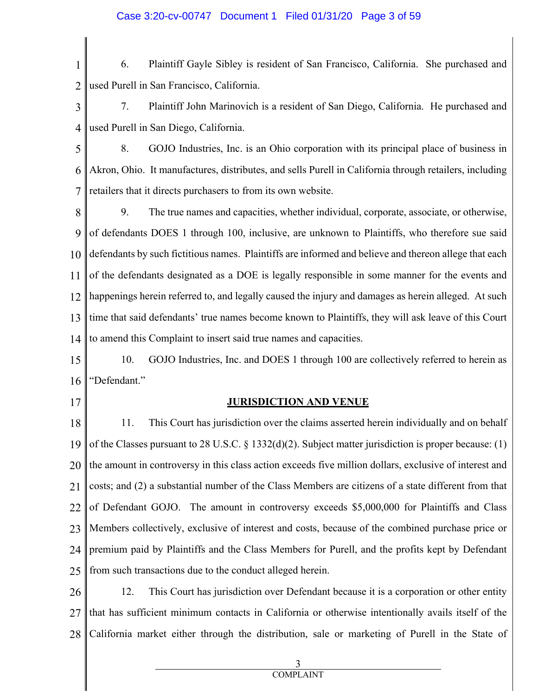1 2 6. Plaintiff Gayle Sibley is resident of San Francisco, California. She purchased and used Purell in San Francisco, California.

3 4 7. Plaintiff John Marinovich is a resident of San Diego, California. He purchased and used Purell in San Diego, California.

5 6 7 8. GOJO Industries, Inc. is an Ohio corporation with its principal place of business in Akron, Ohio. It manufactures, distributes, and sells Purell in California through retailers, including retailers that it directs purchasers to from its own website.

8 9 10 11 12 13 14 9. The true names and capacities, whether individual, corporate, associate, or otherwise, of defendants DOES 1 through 100, inclusive, are unknown to Plaintiffs, who therefore sue said defendants by such fictitious names. Plaintiffs are informed and believe and thereon allege that each of the defendants designated as a DOE is legally responsible in some manner for the events and happenings herein referred to, and legally caused the injury and damages as herein alleged. At such time that said defendants' true names become known to Plaintiffs, they will ask leave of this Court to amend this Complaint to insert said true names and capacities.

15 16 10. GOJO Industries, Inc. and DOES 1 through 100 are collectively referred to herein as "Defendant."

17

## **JURISDICTION AND VENUE**

18 19 20 21 22 23 24 25 11. This Court has jurisdiction over the claims asserted herein individually and on behalf of the Classes pursuant to 28 U.S.C. § 1332(d)(2). Subject matter jurisdiction is proper because: (1) the amount in controversy in this class action exceeds five million dollars, exclusive of interest and costs; and (2) a substantial number of the Class Members are citizens of a state different from that of Defendant GOJO. The amount in controversy exceeds \$5,000,000 for Plaintiffs and Class Members collectively, exclusive of interest and costs, because of the combined purchase price or premium paid by Plaintiffs and the Class Members for Purell, and the profits kept by Defendant from such transactions due to the conduct alleged herein.

26 27 28 12. This Court has jurisdiction over Defendant because it is a corporation or other entity that has sufficient minimum contacts in California or otherwise intentionally avails itself of the California market either through the distribution, sale or marketing of Purell in the State of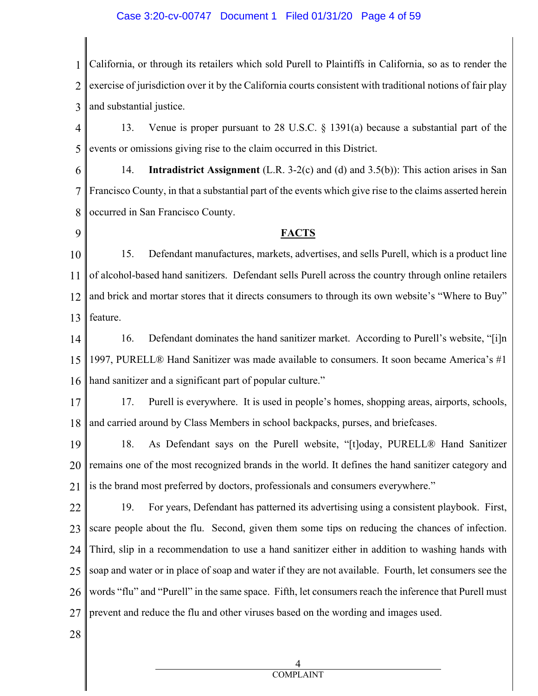#### Case 3:20-cv-00747 Document 1 Filed 01/31/20 Page 4 of 59

1 2 3 California, or through its retailers which sold Purell to Plaintiffs in California, so as to render the exercise of jurisdiction over it by the California courts consistent with traditional notions of fair play and substantial justice.

4 5 13. Venue is proper pursuant to 28 U.S.C. § 1391(a) because a substantial part of the events or omissions giving rise to the claim occurred in this District.

6 7 8 14. **Intradistrict Assignment** (L.R. 3-2(c) and (d) and 3.5(b)): This action arises in San Francisco County, in that a substantial part of the events which give rise to the claims asserted herein occurred in San Francisco County.

9

### **FACTS**

10 11 12 13 15. Defendant manufactures, markets, advertises, and sells Purell, which is a product line of alcohol-based hand sanitizers. Defendant sells Purell across the country through online retailers and brick and mortar stores that it directs consumers to through its own website's "Where to Buy" feature.

14 15 16 16. Defendant dominates the hand sanitizer market. According to Purell's website, "[i]n 1997, PURELL® Hand Sanitizer was made available to consumers. It soon became America's #1 hand sanitizer and a significant part of popular culture."

17 18 17. Purell is everywhere. It is used in people's homes, shopping areas, airports, schools, and carried around by Class Members in school backpacks, purses, and briefcases.

19 20 21 18. As Defendant says on the Purell website, "[t]oday, PURELL® Hand Sanitizer remains one of the most recognized brands in the world. It defines the hand sanitizer category and is the brand most preferred by doctors, professionals and consumers everywhere."

22 23 24 25 26 27 19. For years, Defendant has patterned its advertising using a consistent playbook. First, scare people about the flu. Second, given them some tips on reducing the chances of infection. Third, slip in a recommendation to use a hand sanitizer either in addition to washing hands with soap and water or in place of soap and water if they are not available. Fourth, let consumers see the words "flu" and "Purell" in the same space. Fifth, let consumers reach the inference that Purell must prevent and reduce the flu and other viruses based on the wording and images used.

28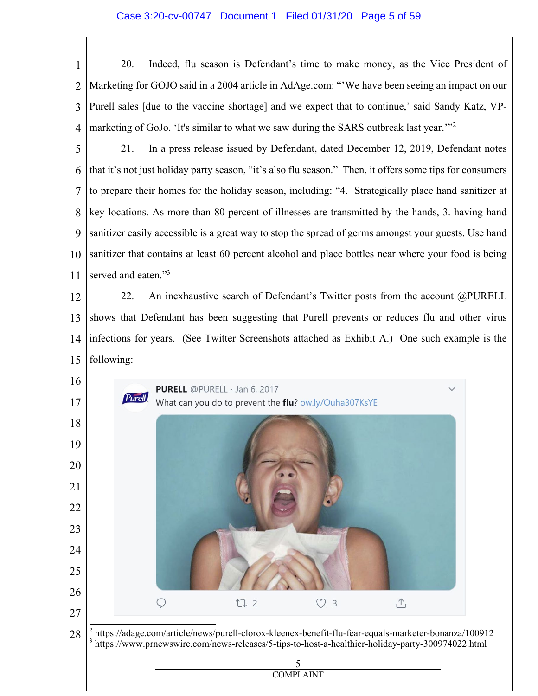#### Case 3:20-cv-00747 Document 1 Filed 01/31/20 Page 5 of 59

 20. Indeed, flu season is Defendant's time to make money, as the Vice President of Marketing for GOJO said in a 2004 article in AdAge.com: "'We have been seeing an impact on our Purell sales [due to the vaccine shortage] and we expect that to continue,' said Sandy Katz, VPmarketing of GoJo. 'It's similar to what we saw during the SARS outbreak last year.

 21. In a press release issued by Defendant, dated December 12, 2019, Defendant notes that it's not just holiday party season, "it's also flu season." Then, it offers some tips for consumers to prepare their homes for the holiday season, including: "4. Strategically place hand sanitizer at key locations. As more than 80 percent of illnesses are transmitted by the hands, 3. having hand sanitizer easily accessible is a great way to stop the spread of germs amongst your guests. Use hand sanitizer that contains at least 60 percent alcohol and place bottles near where your food is being served and eaten."<sup>3</sup>

 22. An inexhaustive search of Defendant's Twitter posts from the account @PURELL shows that Defendant has been suggesting that Purell prevents or reduces flu and other virus infections for years. (See Twitter Screenshots attached as Exhibit A.) One such example is the following:

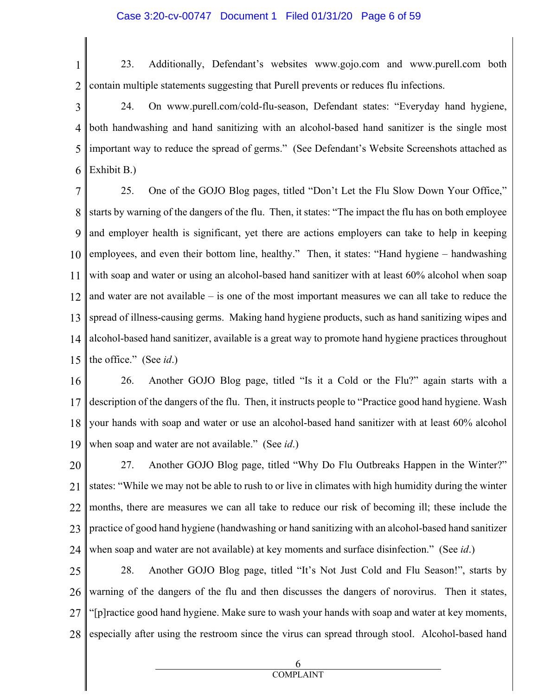1 2 23. Additionally, Defendant's websites www.gojo.com and www.purell.com both contain multiple statements suggesting that Purell prevents or reduces flu infections.

3 4 5 6 24. On www.purell.com/cold-flu-season, Defendant states: "Everyday hand hygiene, both handwashing and hand sanitizing with an alcohol-based hand sanitizer is the single most important way to reduce the spread of germs." (See Defendant's Website Screenshots attached as Exhibit B.)

7 8 9 10 11 12 13 14 15 25. One of the GOJO Blog pages, titled "Don't Let the Flu Slow Down Your Office," starts by warning of the dangers of the flu. Then, it states: "The impact the flu has on both employee and employer health is significant, yet there are actions employers can take to help in keeping employees, and even their bottom line, healthy." Then, it states: "Hand hygiene – handwashing with soap and water or using an alcohol-based hand sanitizer with at least 60% alcohol when soap and water are not available – is one of the most important measures we can all take to reduce the spread of illness-causing germs. Making hand hygiene products, such as hand sanitizing wipes and alcohol-based hand sanitizer, available is a great way to promote hand hygiene practices throughout the office." (See *id*.)

16 17 18 19 26. Another GOJO Blog page, titled "Is it a Cold or the Flu?" again starts with a description of the dangers of the flu. Then, it instructs people to "Practice good hand hygiene. Wash your hands with soap and water or use an alcohol-based hand sanitizer with at least 60% alcohol when soap and water are not available." (See *id*.)

20 21 22 23 24 27. Another GOJO Blog page, titled "Why Do Flu Outbreaks Happen in the Winter?" states: "While we may not be able to rush to or live in climates with high humidity during the winter months, there are measures we can all take to reduce our risk of becoming ill; these include the practice of good hand hygiene (handwashing or hand sanitizing with an alcohol-based hand sanitizer when soap and water are not available) at key moments and surface disinfection." (See *id*.)

25 26 27 28 28. Another GOJO Blog page, titled "It's Not Just Cold and Flu Season!", starts by warning of the dangers of the flu and then discusses the dangers of norovirus. Then it states, "[p]ractice good hand hygiene. Make sure to wash your hands with soap and water at key moments, especially after using the restroom since the virus can spread through stool. Alcohol-based hand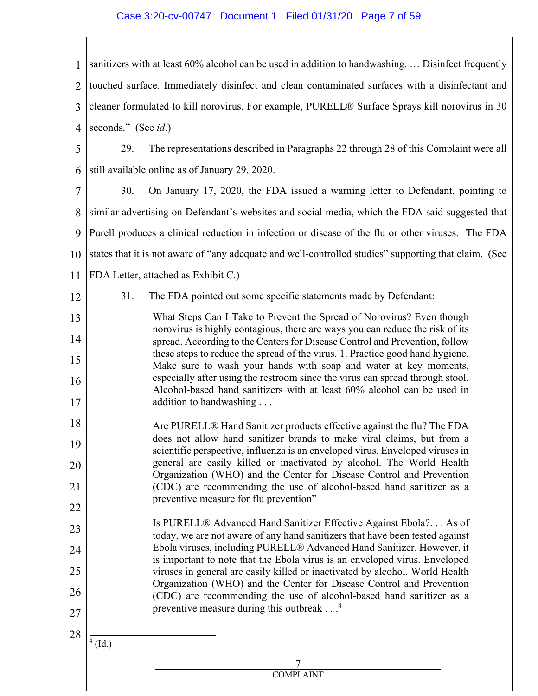#### Case 3:20-cv-00747 Document 1 Filed 01/31/20 Page 7 of 59

1 sanitizers with at least 60% alcohol can be used in addition to handwashing. … Disinfect frequently  $\mathcal{D}_{\mathcal{L}}$ 3 4 touched surface. Immediately disinfect and clean contaminated surfaces with a disinfectant and cleaner formulated to kill norovirus. For example, PURELL® Surface Sprays kill norovirus in 30 seconds." (See *id*.)

5 6 29. The representations described in Paragraphs 22 through 28 of this Complaint were all still available online as of January 29, 2020.

7 8 9 10 11 30. On January 17, 2020, the FDA issued a warning letter to Defendant, pointing to similar advertising on Defendant's websites and social media, which the FDA said suggested that Purell produces a clinical reduction in infection or disease of the flu or other viruses. The FDA states that it is not aware of "any adequate and well-controlled studies" supporting that claim. (See FDA Letter, attached as Exhibit C.)

- 12
- 31. The FDA pointed out some specific statements made by Defendant:

13 14 15 16 17 What Steps Can I Take to Prevent the Spread of Norovirus? Even though norovirus is highly contagious, there are ways you can reduce the risk of its spread. According to the Centers for Disease Control and Prevention, follow these steps to reduce the spread of the virus. 1. Practice good hand hygiene. Make sure to wash your hands with soap and water at key moments, especially after using the restroom since the virus can spread through stool. Alcohol-based hand sanitizers with at least 60% alcohol can be used in addition to handwashing . . .

18 19 20 21 22 Are PURELL® Hand Sanitizer products effective against the flu? The FDA does not allow hand sanitizer brands to make viral claims, but from a scientific perspective, influenza is an enveloped virus. Enveloped viruses in general are easily killed or inactivated by alcohol. The World Health Organization (WHO) and the Center for Disease Control and Prevention (CDC) are recommending the use of alcohol-based hand sanitizer as a preventive measure for flu prevention"

23 24 25 26 27 Is PURELL® Advanced Hand Sanitizer Effective Against Ebola?. . . As of today, we are not aware of any hand sanitizers that have been tested against Ebola viruses, including PURELL® Advanced Hand Sanitizer. However, it is important to note that the Ebola virus is an enveloped virus. Enveloped viruses in general are easily killed or inactivated by alcohol. World Health Organization (WHO) and the Center for Disease Control and Prevention (CDC) are recommending the use of alcohol-based hand sanitizer as a preventive measure during this outbreak . . .<sup>4</sup>

28  $4$  (Id.)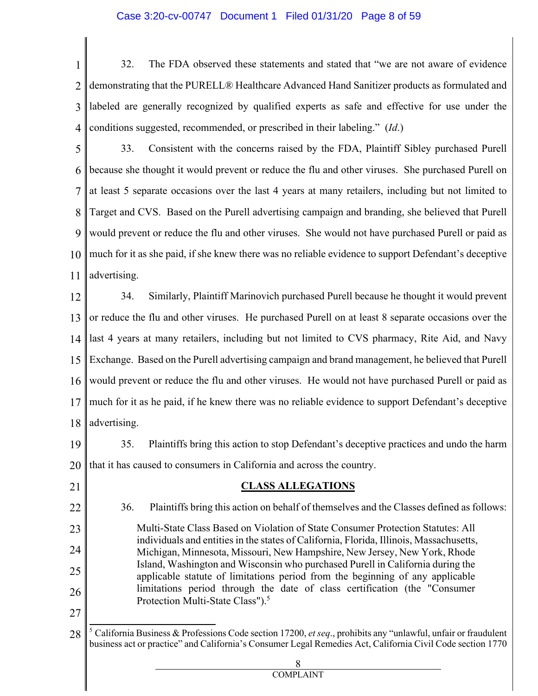#### Case 3:20-cv-00747 Document 1 Filed 01/31/20 Page 8 of 59

1 2 3 4 32. The FDA observed these statements and stated that "we are not aware of evidence demonstrating that the PURELL® Healthcare Advanced Hand Sanitizer products as formulated and labeled are generally recognized by qualified experts as safe and effective for use under the conditions suggested, recommended, or prescribed in their labeling." (*Id*.)

5 6 7 8 9 10 11 33. Consistent with the concerns raised by the FDA, Plaintiff Sibley purchased Purell because she thought it would prevent or reduce the flu and other viruses. She purchased Purell on at least 5 separate occasions over the last 4 years at many retailers, including but not limited to Target and CVS. Based on the Purell advertising campaign and branding, she believed that Purell would prevent or reduce the flu and other viruses. She would not have purchased Purell or paid as much for it as she paid, if she knew there was no reliable evidence to support Defendant's deceptive advertising.

12 13 14 15 16 17 18 34. Similarly, Plaintiff Marinovich purchased Purell because he thought it would prevent or reduce the flu and other viruses. He purchased Purell on at least 8 separate occasions over the last 4 years at many retailers, including but not limited to CVS pharmacy, Rite Aid, and Navy Exchange. Based on the Purell advertising campaign and brand management, he believed that Purell would prevent or reduce the flu and other viruses. He would not have purchased Purell or paid as much for it as he paid, if he knew there was no reliable evidence to support Defendant's deceptive advertising.

19 20 35. Plaintiffs bring this action to stop Defendant's deceptive practices and undo the harm that it has caused to consumers in California and across the country.

21 22 23 24 25 26 27 28 **CLASS ALLEGATIONS** 36. Plaintiffs bring this action on behalf of themselves and the Classes defined as follows: Multi-State Class Based on Violation of State Consumer Protection Statutes: All individuals and entities in the states of California, Florida, Illinois, Massachusetts, Michigan, Minnesota, Missouri, New Hampshire, New Jersey, New York, Rhode Island, Washington and Wisconsin who purchased Purell in California during the applicable statute of limitations period from the beginning of any applicable limitations period through the date of class certification (the "Consumer Protection Multi-State Class").<sup>5</sup> <sup>5</sup> California Business & Professions Code section 17200, *et seq*., prohibits any "unlawful, unfair or fraudulent business act or practice" and California's Consumer Legal Remedies Act, California Civil Code section 1770

8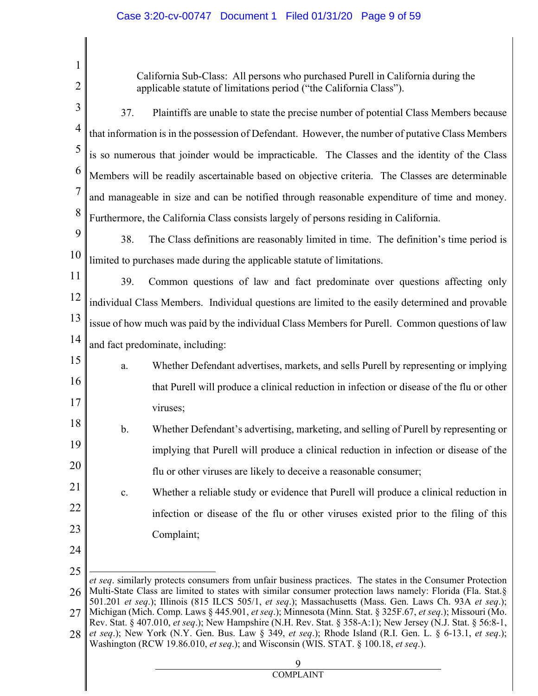1 2 3 4 5 6 7 8 9 10 11 12 13 14 15 16 17 18 19 20 21 22 23 24 25 26 27 28 California Sub-Class: All persons who purchased Purell in California during the applicable statute of limitations period ("the California Class"). 37. Plaintiffs are unable to state the precise number of potential Class Members because that information is in the possession of Defendant. However, the number of putative Class Members is so numerous that joinder would be impracticable. The Classes and the identity of the Class Members will be readily ascertainable based on objective criteria. The Classes are determinable and manageable in size and can be notified through reasonable expenditure of time and money. Furthermore, the California Class consists largely of persons residing in California. 38. The Class definitions are reasonably limited in time. The definition's time period is limited to purchases made during the applicable statute of limitations. 39. Common questions of law and fact predominate over questions affecting only individual Class Members. Individual questions are limited to the easily determined and provable issue of how much was paid by the individual Class Members for Purell. Common questions of law and fact predominate, including: a. Whether Defendant advertises, markets, and sells Purell by representing or implying that Purell will produce a clinical reduction in infection or disease of the flu or other viruses; b. Whether Defendant's advertising, marketing, and selling of Purell by representing or implying that Purell will produce a clinical reduction in infection or disease of the flu or other viruses are likely to deceive a reasonable consumer; c. Whether a reliable study or evidence that Purell will produce a clinical reduction in infection or disease of the flu or other viruses existed prior to the filing of this Complaint; *et seq*. similarly protects consumers from unfair business practices. The states in the Consumer Protection Multi-State Class are limited to states with similar consumer protection laws namely: Florida (Fla. Stat.§ 501.201 *et seq*.); Illinois (815 ILCS 505/1, *et seq*.); Massachusetts (Mass. Gen. Laws Ch. 93A *et seq*.); Michigan (Mich. Comp. Laws § 445.901, *et seq*.); Minnesota (Minn. Stat. § 325F.67, *et seq*.); Missouri (Mo. Rev. Stat. § 407.010, *et seq*.); New Hampshire (N.H. Rev. Stat. § 358-A:1); New Jersey (N.J. Stat. § 56:8-1, *et seq*.); New York (N.Y. Gen. Bus. Law § 349, *et seq*.); Rhode Island (R.I. Gen. L. § 6-13.1, *et seq*.); Washington (RCW 19.86.010, *et seq*.); and Wisconsin (WIS. STAT. § 100.18, *et seq*.).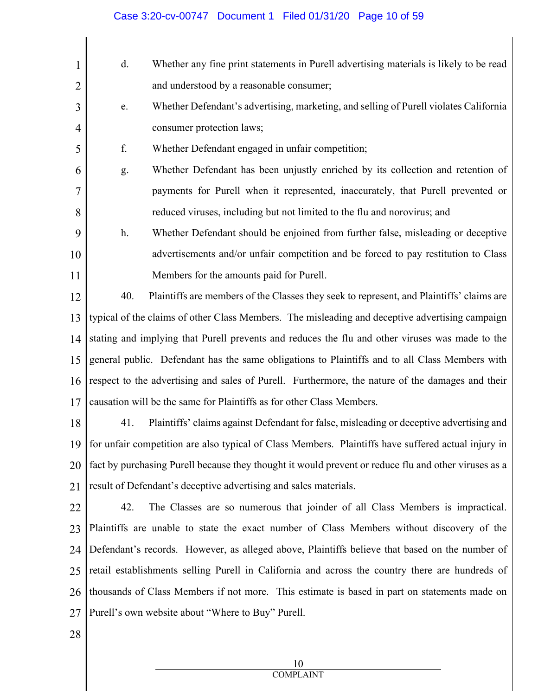| 1              | d.  | Whether any fine print statements in Purell advertising materials is likely to be read               |
|----------------|-----|------------------------------------------------------------------------------------------------------|
| $\overline{2}$ |     | and understood by a reasonable consumer;                                                             |
| 3              | e.  | Whether Defendant's advertising, marketing, and selling of Purell violates California                |
| 4              |     | consumer protection laws;                                                                            |
| 5              | f.  | Whether Defendant engaged in unfair competition;                                                     |
| 6              | g.  | Whether Defendant has been unjustly enriched by its collection and retention of                      |
| $\overline{7}$ |     | payments for Purell when it represented, inaccurately, that Purell prevented or                      |
| 8              |     | reduced viruses, including but not limited to the flu and norovirus; and                             |
| 9              | h.  | Whether Defendant should be enjoined from further false, misleading or deceptive                     |
| 10             |     | advertisements and/or unfair competition and be forced to pay restitution to Class                   |
| 11             |     | Members for the amounts paid for Purell.                                                             |
| 12             | 40. | Plaintiffs are members of the Classes they seek to represent, and Plaintiffs' claims are             |
| 13             |     | typical of the claims of other Class Members. The misleading and deceptive advertising campaign      |
| 14             |     | stating and implying that Purell prevents and reduces the flu and other viruses was made to the      |
| 15             |     | general public. Defendant has the same obligations to Plaintiffs and to all Class Members with       |
| 16             |     | respect to the advertising and sales of Purell. Furthermore, the nature of the damages and their     |
| 17             |     | causation will be the same for Plaintiffs as for other Class Members.                                |
| 18             | 41. | Plaintiffs' claims against Defendant for false, misleading or deceptive advertising and              |
| 19             |     | for unfair competition are also typical of Class Members. Plaintiffs have suffered actual injury in  |
| 20             |     | fact by purchasing Purell because they thought it would prevent or reduce flu and other viruses as a |
| 21             |     | result of Defendant's deceptive advertising and sales materials.                                     |
| 22             | 42. | The Classes are so numerous that joinder of all Class Members is impractical.                        |
| 23             |     | Plaintiffs are unable to state the exact number of Class Members without discovery of the            |
| 24             |     | Defendant's records. However, as alleged above, Plaintiffs believe that based on the number of       |
| 25             |     | retail establishments selling Purell in California and across the country there are hundreds of      |
| 26             |     | thousands of Class Members if not more. This estimate is based in part on statements made on         |
| 27             |     | Purell's own website about "Where to Buy" Purell.                                                    |
| 28             |     |                                                                                                      |
|                |     |                                                                                                      |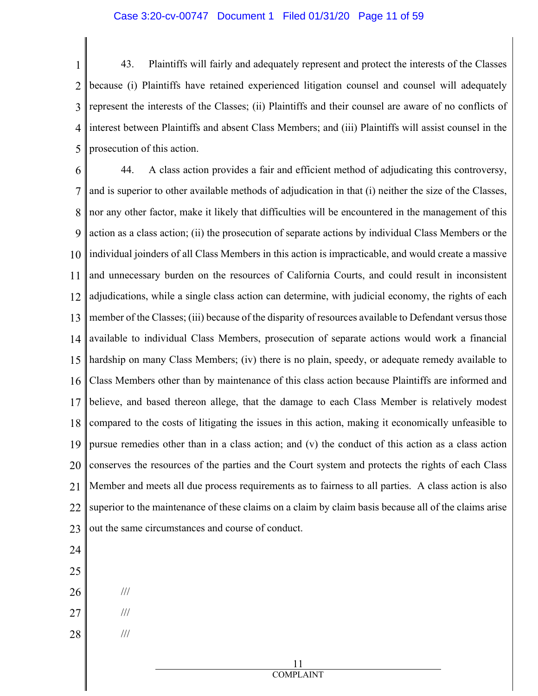1 2 3 4 5 43. Plaintiffs will fairly and adequately represent and protect the interests of the Classes because (i) Plaintiffs have retained experienced litigation counsel and counsel will adequately represent the interests of the Classes; (ii) Plaintiffs and their counsel are aware of no conflicts of interest between Plaintiffs and absent Class Members; and (iii) Plaintiffs will assist counsel in the prosecution of this action.

6 7 8 9 10 11 12 13 14 15 16 17 18 19 20 21 22 23 44. A class action provides a fair and efficient method of adjudicating this controversy, and is superior to other available methods of adjudication in that (i) neither the size of the Classes, nor any other factor, make it likely that difficulties will be encountered in the management of this action as a class action; (ii) the prosecution of separate actions by individual Class Members or the individual joinders of all Class Members in this action is impracticable, and would create a massive and unnecessary burden on the resources of California Courts, and could result in inconsistent adjudications, while a single class action can determine, with judicial economy, the rights of each member of the Classes; (iii) because of the disparity of resources available to Defendant versus those available to individual Class Members, prosecution of separate actions would work a financial hardship on many Class Members; (iv) there is no plain, speedy, or adequate remedy available to Class Members other than by maintenance of this class action because Plaintiffs are informed and believe, and based thereon allege, that the damage to each Class Member is relatively modest compared to the costs of litigating the issues in this action, making it economically unfeasible to pursue remedies other than in a class action; and (v) the conduct of this action as a class action conserves the resources of the parties and the Court system and protects the rights of each Class Member and meets all due process requirements as to fairness to all parties. A class action is also superior to the maintenance of these claims on a claim by claim basis because all of the claims arise out the same circumstances and course of conduct.

- 24 25
- 26

///

- 27 ///
- 28 ///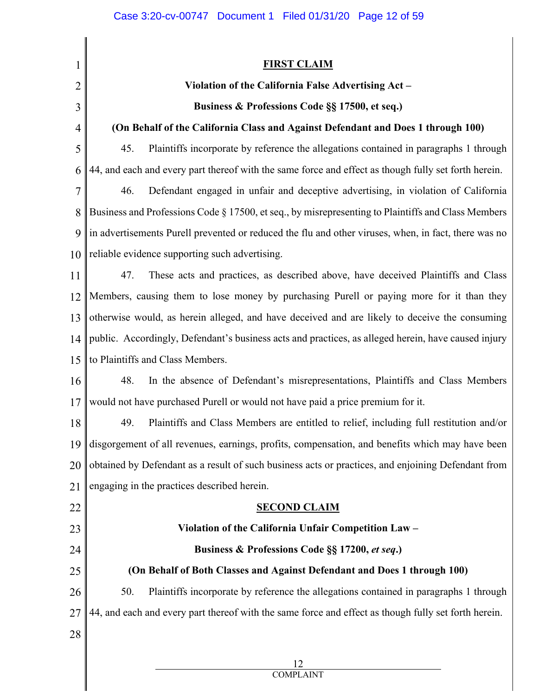1 2 3 4 5 6 7 8 9 10 11 12 13 14 15 16 17 18 19 20 21 22 23 24 25 26 27 28 **FIRST CLAIM Violation of the California False Advertising Act – Business & Professions Code §§ 17500, et seq.) (On Behalf of the California Class and Against Defendant and Does 1 through 100)** 45. Plaintiffs incorporate by reference the allegations contained in paragraphs 1 through 44, and each and every part thereof with the same force and effect as though fully set forth herein. 46. Defendant engaged in unfair and deceptive advertising, in violation of California Business and Professions Code § 17500, et seq., by misrepresenting to Plaintiffs and Class Members in advertisements Purell prevented or reduced the flu and other viruses, when, in fact, there was no reliable evidence supporting such advertising. 47. These acts and practices, as described above, have deceived Plaintiffs and Class Members, causing them to lose money by purchasing Purell or paying more for it than they otherwise would, as herein alleged, and have deceived and are likely to deceive the consuming public. Accordingly, Defendant's business acts and practices, as alleged herein, have caused injury to Plaintiffs and Class Members. 48. In the absence of Defendant's misrepresentations, Plaintiffs and Class Members would not have purchased Purell or would not have paid a price premium for it. 49. Plaintiffs and Class Members are entitled to relief, including full restitution and/or disgorgement of all revenues, earnings, profits, compensation, and benefits which may have been obtained by Defendant as a result of such business acts or practices, and enjoining Defendant from engaging in the practices described herein. **SECOND CLAIM Violation of the California Unfair Competition Law – Business & Professions Code §§ 17200,** *et seq***.) (On Behalf of Both Classes and Against Defendant and Does 1 through 100)** 50. Plaintiffs incorporate by reference the allegations contained in paragraphs 1 through 44, and each and every part thereof with the same force and effect as though fully set forth herein.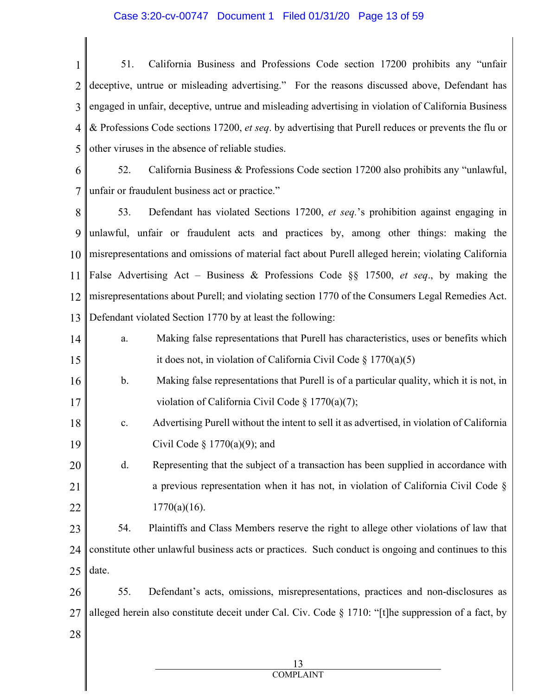#### Case 3:20-cv-00747 Document 1 Filed 01/31/20 Page 13 of 59

1 2 3 4 5 51. California Business and Professions Code section 17200 prohibits any "unfair deceptive, untrue or misleading advertising." For the reasons discussed above, Defendant has engaged in unfair, deceptive, untrue and misleading advertising in violation of California Business & Professions Code sections 17200, *et seq*. by advertising that Purell reduces or prevents the flu or other viruses in the absence of reliable studies.

6 7 52. California Business & Professions Code section 17200 also prohibits any "unlawful, unfair or fraudulent business act or practice."

8 9 10 11 12 13 53. Defendant has violated Sections 17200, *et seq.*'s prohibition against engaging in unlawful, unfair or fraudulent acts and practices by, among other things: making the misrepresentations and omissions of material fact about Purell alleged herein; violating California False Advertising Act – Business & Professions Code §§ 17500, *et seq*., by making the misrepresentations about Purell; and violating section 1770 of the Consumers Legal Remedies Act. Defendant violated Section 1770 by at least the following:

- 14 15 a. Making false representations that Purell has characteristics, uses or benefits which it does not, in violation of California Civil Code § 1770(a)(5)
- 16 17 b. Making false representations that Purell is of a particular quality, which it is not, in violation of California Civil Code § 1770(a)(7);
- 18 19 c. Advertising Purell without the intent to sell it as advertised, in violation of California Civil Code §  $1770(a)(9)$ ; and

20 21 22 d. Representing that the subject of a transaction has been supplied in accordance with a previous representation when it has not, in violation of California Civil Code §  $1770(a)(16)$ .

23 24 25 54. Plaintiffs and Class Members reserve the right to allege other violations of law that constitute other unlawful business acts or practices. Such conduct is ongoing and continues to this date.

- 26 27 55. Defendant's acts, omissions, misrepresentations, practices and non-disclosures as alleged herein also constitute deceit under Cal. Civ. Code § 1710: "[t]he suppression of a fact, by
- 28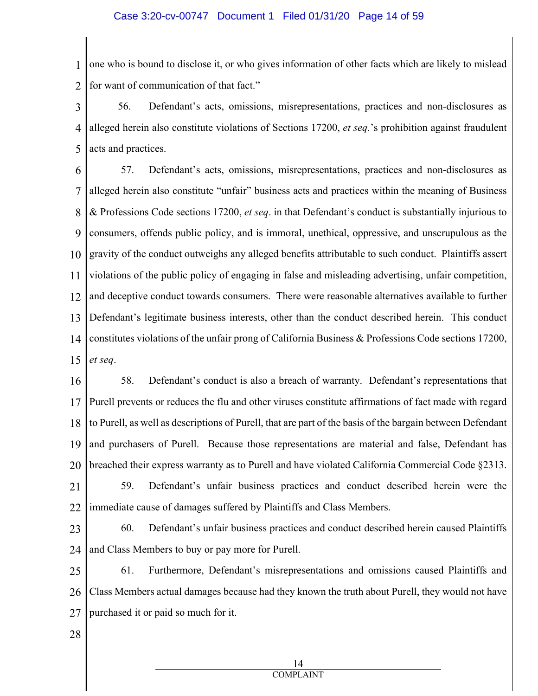1 2 one who is bound to disclose it, or who gives information of other facts which are likely to mislead for want of communication of that fact."

3 4 5 56. Defendant's acts, omissions, misrepresentations, practices and non-disclosures as alleged herein also constitute violations of Sections 17200, *et seq.*'s prohibition against fraudulent acts and practices.

6 7 8 9 10 11 12 13 14 15 57. Defendant's acts, omissions, misrepresentations, practices and non-disclosures as alleged herein also constitute "unfair" business acts and practices within the meaning of Business & Professions Code sections 17200, *et seq*. in that Defendant's conduct is substantially injurious to consumers, offends public policy, and is immoral, unethical, oppressive, and unscrupulous as the gravity of the conduct outweighs any alleged benefits attributable to such conduct. Plaintiffs assert violations of the public policy of engaging in false and misleading advertising, unfair competition, and deceptive conduct towards consumers. There were reasonable alternatives available to further Defendant's legitimate business interests, other than the conduct described herein. This conduct constitutes violations of the unfair prong of California Business & Professions Code sections 17200, *et seq*.

16 17 18 19 20 58. Defendant's conduct is also a breach of warranty. Defendant's representations that Purell prevents or reduces the flu and other viruses constitute affirmations of fact made with regard to Purell, as well as descriptions of Purell, that are part of the basis of the bargain between Defendant and purchasers of Purell. Because those representations are material and false, Defendant has breached their express warranty as to Purell and have violated California Commercial Code §2313.

21 22 59. Defendant's unfair business practices and conduct described herein were the immediate cause of damages suffered by Plaintiffs and Class Members.

23

24 60. Defendant's unfair business practices and conduct described herein caused Plaintiffs and Class Members to buy or pay more for Purell.

25 26 27 61. Furthermore, Defendant's misrepresentations and omissions caused Plaintiffs and Class Members actual damages because had they known the truth about Purell, they would not have purchased it or paid so much for it.

28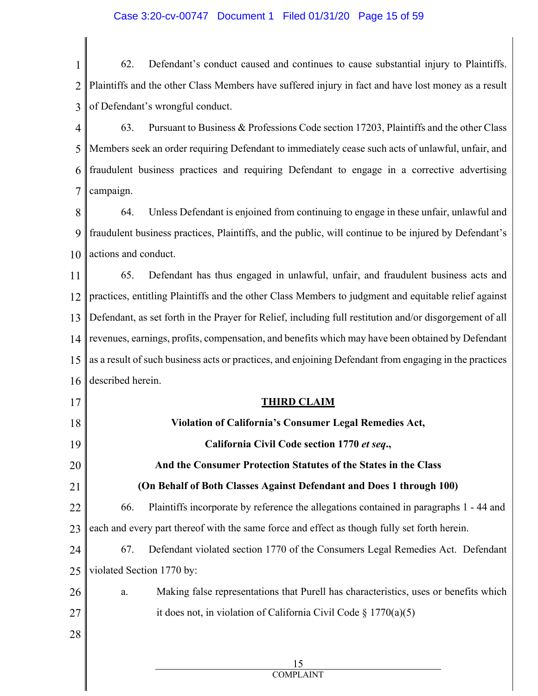#### Case 3:20-cv-00747 Document 1 Filed 01/31/20 Page 15 of 59

1 2 3 62. Defendant's conduct caused and continues to cause substantial injury to Plaintiffs. Plaintiffs and the other Class Members have suffered injury in fact and have lost money as a result of Defendant's wrongful conduct.

4 5 6 7 63. Pursuant to Business & Professions Code section 17203, Plaintiffs and the other Class Members seek an order requiring Defendant to immediately cease such acts of unlawful, unfair, and fraudulent business practices and requiring Defendant to engage in a corrective advertising campaign.

8 9 10 64. Unless Defendant is enjoined from continuing to engage in these unfair, unlawful and fraudulent business practices, Plaintiffs, and the public, will continue to be injured by Defendant's actions and conduct.

11 12 13 14 15 16 65. Defendant has thus engaged in unlawful, unfair, and fraudulent business acts and practices, entitling Plaintiffs and the other Class Members to judgment and equitable relief against Defendant, as set forth in the Prayer for Relief, including full restitution and/or disgorgement of all revenues, earnings, profits, compensation, and benefits which may have been obtained by Defendant as a result of such business acts or practices, and enjoining Defendant from engaging in the practices described herein.

#### 17 18 19 20 21 22 23 24 25 26 **THIRD CLAIM Violation of California's Consumer Legal Remedies Act, California Civil Code section 1770** *et seq***., And the Consumer Protection Statutes of the States in the Class (On Behalf of Both Classes Against Defendant and Does 1 through 100)** 66. Plaintiffs incorporate by reference the allegations contained in paragraphs 1 - 44 and each and every part thereof with the same force and effect as though fully set forth herein. 67. Defendant violated section 1770 of the Consumers Legal Remedies Act. Defendant violated Section 1770 by: a. Making false representations that Purell has characteristics, uses or benefits which

it does not, in violation of California Civil Code  $\S 1770(a)(5)$ 

15 COMPLAINT

28

27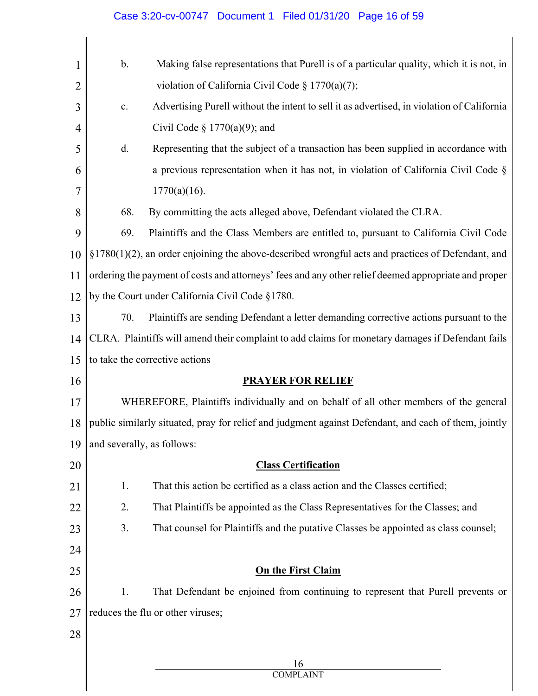| Case 3:20-cv-00747  Document 1  Filed 01/31/20  Page 16 of 59 |  |  |  |
|---------------------------------------------------------------|--|--|--|
|---------------------------------------------------------------|--|--|--|

| $\mathbf 1$    | $\mathbf b$ .              | Making false representations that Purell is of a particular quality, which it is not, in              |
|----------------|----------------------------|-------------------------------------------------------------------------------------------------------|
| $\overline{2}$ |                            | violation of California Civil Code § 1770(a)(7);                                                      |
| 3              | $\mathbf{c}.$              | Advertising Purell without the intent to sell it as advertised, in violation of California            |
| 4              |                            | Civil Code § $1770(a)(9)$ ; and                                                                       |
| 5              | d.                         | Representing that the subject of a transaction has been supplied in accordance with                   |
| 6              |                            | a previous representation when it has not, in violation of California Civil Code $\S$                 |
| 7              |                            | $1770(a)(16)$ .                                                                                       |
| 8              | 68.                        | By committing the acts alleged above, Defendant violated the CLRA.                                    |
| 9              | 69.                        | Plaintiffs and the Class Members are entitled to, pursuant to California Civil Code                   |
| 10             |                            | $\S1780(1)(2)$ , an order enjoining the above-described wrongful acts and practices of Defendant, and |
| 11             |                            | ordering the payment of costs and attorneys' fees and any other relief deemed appropriate and proper  |
| 12             |                            | by the Court under California Civil Code §1780.                                                       |
| 13             | 70.                        | Plaintiffs are sending Defendant a letter demanding corrective actions pursuant to the                |
| 14             |                            | CLRA. Plaintiffs will amend their complaint to add claims for monetary damages if Defendant fails     |
| 15             |                            | to take the corrective actions                                                                        |
| 16             |                            | <b>PRAYER FOR RELIEF</b>                                                                              |
| 17             |                            | WHEREFORE, Plaintiffs individually and on behalf of all other members of the general                  |
| 18             |                            | public similarly situated, pray for relief and judgment against Defendant, and each of them, jointly  |
| 19             | and severally, as follows: |                                                                                                       |
| 20             |                            | <b>Class Certification</b>                                                                            |
| 21             | 1.                         | That this action be certified as a class action and the Classes certified;                            |
| 22             | 2.                         | That Plaintiffs be appointed as the Class Representatives for the Classes; and                        |
| 23             | 3.                         | That counsel for Plaintiffs and the putative Classes be appointed as class counsel;                   |
| 24             |                            |                                                                                                       |
| 25             |                            | <b>On the First Claim</b>                                                                             |
| 26             | 1.                         | That Defendant be enjoined from continuing to represent that Purell prevents or                       |
| 27             |                            | reduces the flu or other viruses;                                                                     |
| 28             |                            |                                                                                                       |
|                |                            | 16                                                                                                    |
|                |                            | <b>COMPLAINT</b>                                                                                      |

║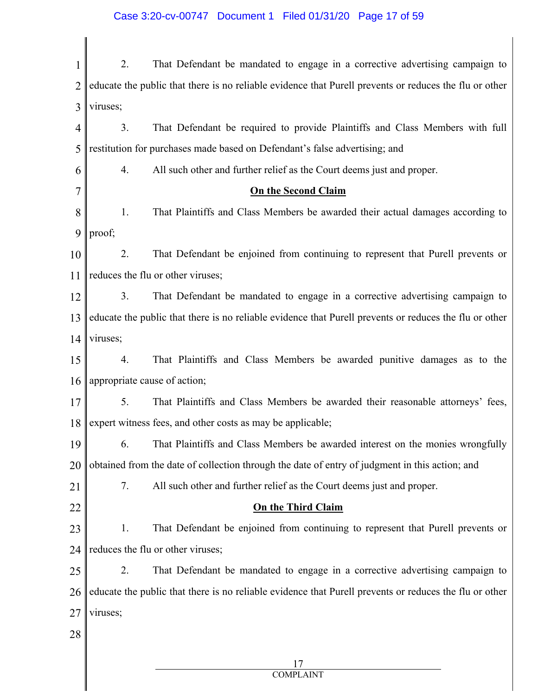# Case 3:20-cv-00747 Document 1 Filed 01/31/20 Page 17 of 59

| 1              | 2.<br>That Defendant be mandated to engage in a corrective advertising campaign to                     |
|----------------|--------------------------------------------------------------------------------------------------------|
| $\overline{2}$ | educate the public that there is no reliable evidence that Purell prevents or reduces the flu or other |
| 3              | viruses;                                                                                               |
| $\overline{4}$ | That Defendant be required to provide Plaintiffs and Class Members with full<br>3.                     |
| 5              | restitution for purchases made based on Defendant's false advertising; and                             |
| 6              | 4.<br>All such other and further relief as the Court deems just and proper.                            |
| 7              | <b>On the Second Claim</b>                                                                             |
| 8              | 1.<br>That Plaintiffs and Class Members be awarded their actual damages according to                   |
| 9              | proof;                                                                                                 |
| 10             | That Defendant be enjoined from continuing to represent that Purell prevents or<br>2.                  |
| 11             | reduces the flu or other viruses;                                                                      |
| 12             | 3.<br>That Defendant be mandated to engage in a corrective advertising campaign to                     |
| 13             | educate the public that there is no reliable evidence that Purell prevents or reduces the flu or other |
| 14             | viruses;                                                                                               |
| 15             | That Plaintiffs and Class Members be awarded punitive damages as to the<br>4.                          |
| 16             | appropriate cause of action;                                                                           |
| 17             | 5.<br>That Plaintiffs and Class Members be awarded their reasonable attorneys' fees,                   |
|                | 18   expert witness fees, and other costs as may be applicable;                                        |
| 19             | That Plaintiffs and Class Members be awarded interest on the monies wrongfully<br>6.                   |
| 20             | obtained from the date of collection through the date of entry of judgment in this action; and         |
| 21             | 7.<br>All such other and further relief as the Court deems just and proper.                            |
| 22             | <b>On the Third Claim</b>                                                                              |
| 23             | That Defendant be enjoined from continuing to represent that Purell prevents or<br>1.                  |
| 24             | reduces the flu or other viruses;                                                                      |
| 25             | 2.<br>That Defendant be mandated to engage in a corrective advertising campaign to                     |
| 26             | educate the public that there is no reliable evidence that Purell prevents or reduces the flu or other |
| 27             | viruses;                                                                                               |
| 28             |                                                                                                        |
|                | 17                                                                                                     |
|                | <b>COMPLAINT</b>                                                                                       |

 $\parallel$